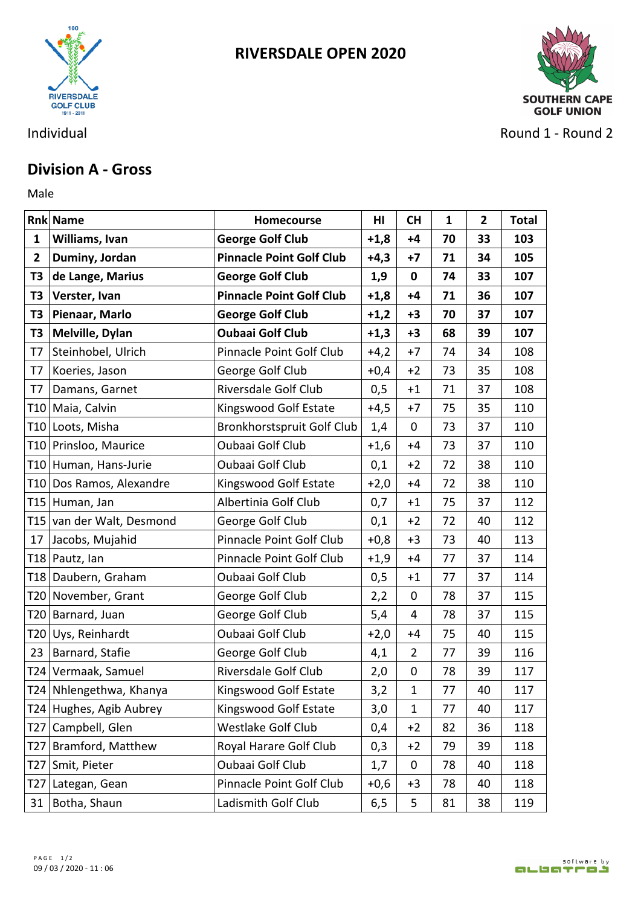

**RIVERSDALE OPEN 2020**



Individual **Round 2** - Round 2

## **Division A - Gross**

Male **Male** 

|              | <b>Rnk Name</b>           | Homecourse                        | HI     | <b>CH</b>      | 1  | $\overline{\mathbf{2}}$ | <b>Total</b> |
|--------------|---------------------------|-----------------------------------|--------|----------------|----|-------------------------|--------------|
| 1            | Williams, Ivan            | <b>George Golf Club</b>           | $+1,8$ | $+4$           | 70 | 33                      | 103          |
| $\mathbf{2}$ | Duminy, Jordan            | <b>Pinnacle Point Golf Club</b>   | $+4,3$ | $+7$           | 71 | 34                      | 105          |
| T3           | de Lange, Marius          | <b>George Golf Club</b>           | 1,9    | $\mathbf 0$    | 74 | 33                      | 107          |
| T3           | Verster, Ivan             | <b>Pinnacle Point Golf Club</b>   | $+1,8$ | $+4$           | 71 | 36                      | 107          |
| T3           | Pienaar, Marlo            | <b>George Golf Club</b>           | $+1,2$ | $+3$           | 70 | 37                      | 107          |
| T3           | Melville, Dylan           | <b>Oubaai Golf Club</b>           | $+1,3$ | $+3$           | 68 | 39                      | 107          |
| T7           | Steinhobel, Ulrich        | Pinnacle Point Golf Club          | $+4,2$ | $+7$           | 74 | 34                      | 108          |
| T7           | Koeries, Jason            | George Golf Club                  | $+0,4$ | $+2$           | 73 | 35                      | 108          |
| T7           | Damans, Garnet            | Riversdale Golf Club              | 0,5    | $+1$           | 71 | 37                      | 108          |
|              | T10 Maia, Calvin          | Kingswood Golf Estate             | $+4,5$ | $+7$           | 75 | 35                      | 110          |
|              | T10 Loots, Misha          | <b>Bronkhorstspruit Golf Club</b> | 1,4    | $\mathbf 0$    | 73 | 37                      | 110          |
|              | T10 Prinsloo, Maurice     | Oubaai Golf Club                  | $+1,6$ | $+4$           | 73 | 37                      | 110          |
|              | T10 Human, Hans-Jurie     | <b>Oubaai Golf Club</b>           | 0,1    | $+2$           | 72 | 38                      | 110          |
|              | T10 Dos Ramos, Alexandre  | Kingswood Golf Estate             | $+2,0$ | $+4$           | 72 | 38                      | 110          |
|              | T15 Human, Jan            | Albertinia Golf Club              | 0,7    | $+1$           | 75 | 37                      | 112          |
|              | T15 van der Walt, Desmond | George Golf Club                  | 0,1    | $+2$           | 72 | 40                      | 112          |
| 17           | Jacobs, Mujahid           | Pinnacle Point Golf Club          | $+0,8$ | $+3$           | 73 | 40                      | 113          |
|              | T18 Pautz, lan            | Pinnacle Point Golf Club          | $+1,9$ | $+4$           | 77 | 37                      | 114          |
|              | T18 Daubern, Graham       | Oubaai Golf Club                  | 0,5    | $+1$           | 77 | 37                      | 114          |
|              | T20 November, Grant       | George Golf Club                  | 2,2    | $\mathbf 0$    | 78 | 37                      | 115          |
|              | T20 Barnard, Juan         | George Golf Club                  | 5,4    | 4              | 78 | 37                      | 115          |
|              | T20 Uys, Reinhardt        | <b>Oubaai Golf Club</b>           | $+2,0$ | $+4$           | 75 | 40                      | 115          |
| 23           | Barnard, Stafie           | George Golf Club                  | 4,1    | $\overline{2}$ | 77 | 39                      | 116          |
|              | T24 Vermaak, Samuel       | Riversdale Golf Club              | 2,0    | $\mathbf 0$    | 78 | 39                      | 117          |
|              | T24 Nhlengethwa, Khanya   | Kingswood Golf Estate             | 3,2    | 1              | 77 | 40                      | 117          |
|              | T24 Hughes, Agib Aubrey   | Kingswood Golf Estate             | 3,0    | $\mathbf{1}$   | 77 | 40                      | 117          |
|              | T27 Campbell, Glen        | Westlake Golf Club                | 0,4    | $+2$           | 82 | 36                      | 118          |
|              | T27 Bramford, Matthew     | Royal Harare Golf Club            | 0,3    | $+2$           | 79 | 39                      | 118          |
| T27          | Smit, Pieter              | Oubaai Golf Club                  | 1,7    | $\mathbf 0$    | 78 | 40                      | 118          |
| T27          | Lategan, Gean             | Pinnacle Point Golf Club          | $+0,6$ | $+3$           | 78 | 40                      | 118          |
| 31           | Botha, Shaun              | Ladismith Golf Club               | 6,5    | 5              | 81 | 38                      | 119          |